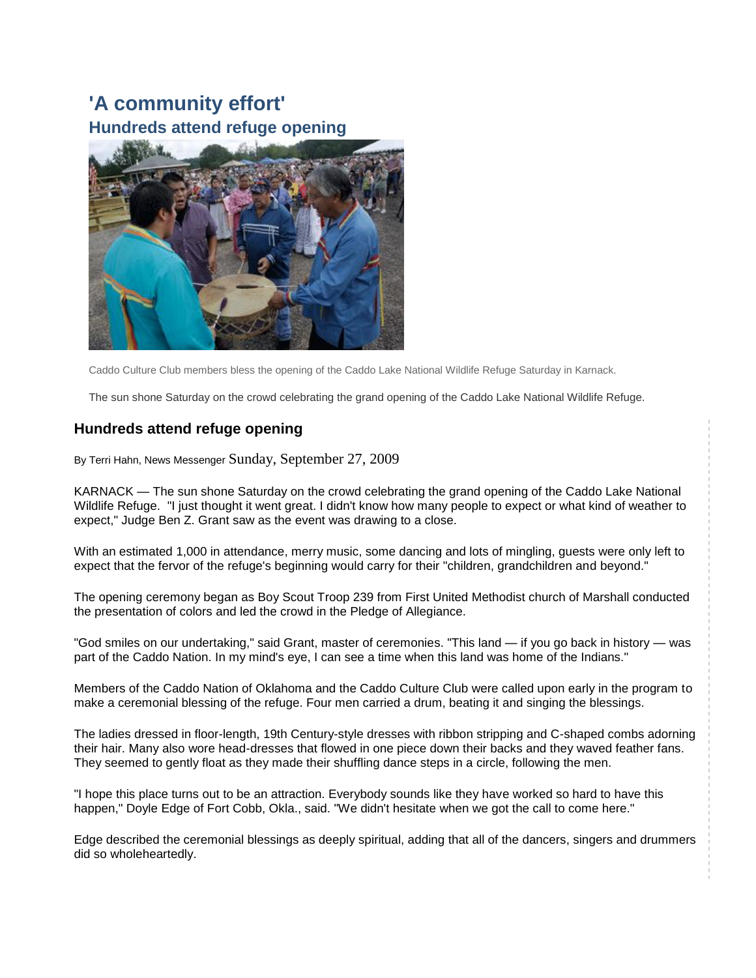## **['A community effort'](http://www.marshallnewsmessenger.com/news/content/news/stories/2009/092709_web_refuge.html) [Hundreds attend refuge](http://www.marshallnewsmessenger.com/news/content/news/stories/2009/092709_web_refuge.html) opening**



Caddo Culture Club members bless the opening of the Caddo Lake National Wildlife Refuge Saturday in Karnack.

The sun shone Saturday on the crowd celebrating the grand opening of the Caddo Lake National Wildlife Refuge.

## **Hundreds attend refuge opening**

By Terri Hahn, News Messenger Sunday, September 27, 2009

KARNACK — The sun shone Saturday on the crowd celebrating the grand opening of the Caddo Lake National Wildlife Refuge. "I just thought it went great. I didn't know how many people to expect or what kind of weather to expect," Judge Ben Z. Grant saw as the event was drawing to a close.

With an estimated 1,000 in attendance, merry music, some dancing and lots of mingling, guests were only left to expect that the fervor of the refuge's beginning would carry for their "children, grandchildren and beyond."

The opening ceremony began as Boy Scout Troop 239 from First United Methodist church of Marshall conducted the presentation of colors and led the crowd in the Pledge of Allegiance.

"God smiles on our undertaking," said Grant, master of ceremonies. "This land — if you go back in history — was part of the Caddo Nation. In my mind's eye, I can see a time when this land was home of the Indians."

Members of the Caddo Nation of Oklahoma and the Caddo Culture Club were called upon early in the program to make a ceremonial blessing of the refuge. Four men carried a drum, beating it and singing the blessings.

The ladies dressed in floor-length, 19th Century-style dresses with ribbon stripping and C-shaped combs adorning their hair. Many also wore head-dresses that flowed in one piece down their backs and they waved feather fans. They seemed to gently float as they made their shuffling dance steps in a circle, following the men.

"I hope this place turns out to be an attraction. Everybody sounds like they have worked so hard to have this happen," Doyle Edge of Fort Cobb, Okla., said. "We didn't hesitate when we got the call to come here."

Edge described the ceremonial blessings as deeply spiritual, adding that all of the dancers, singers and drummers did so wholeheartedly.